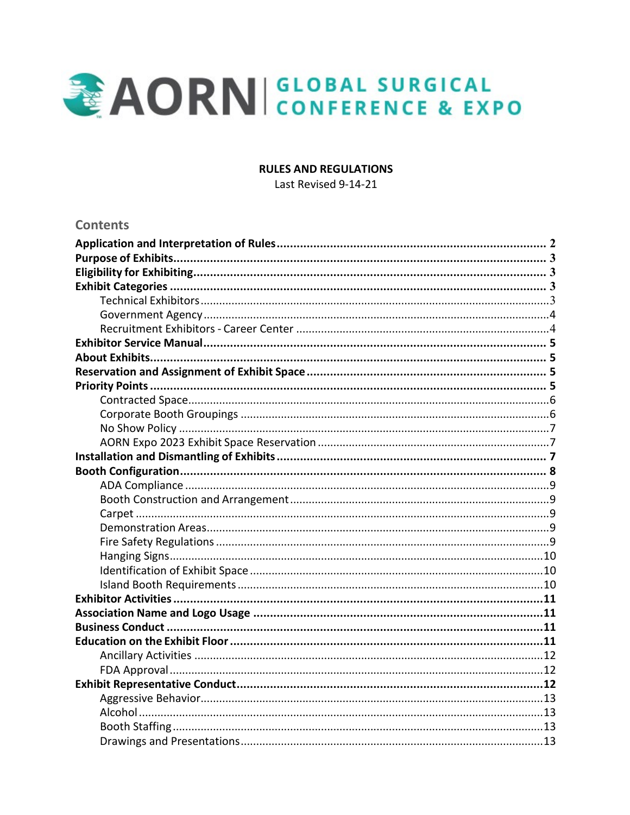

### **RULES AND REGULATIONS**

Last Revised 9-14-21

### **Contents**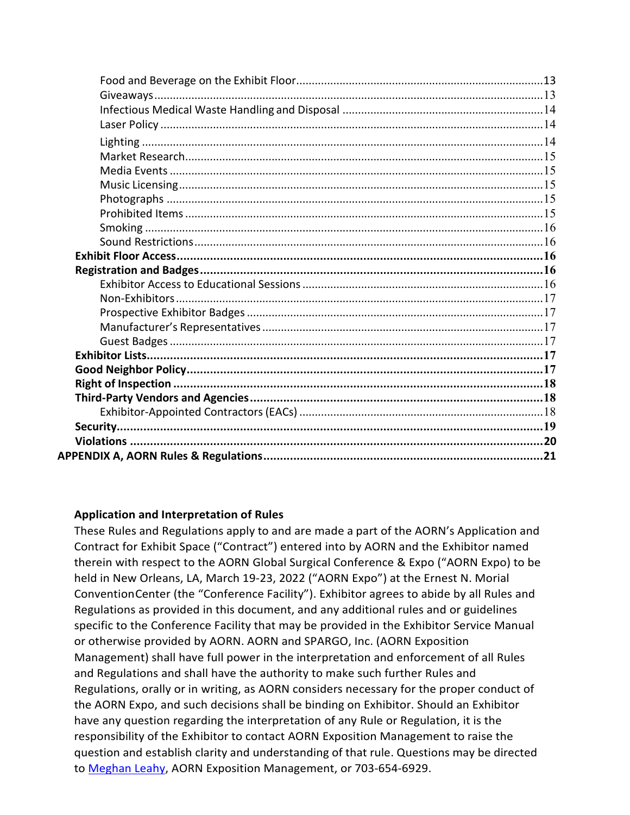### **Application and Interpretation of Rules**

These Rules and Regulations apply to and are made a part of the AORN's Application and Contract for Exhibit Space ("Contract") entered into by AORN and the Exhibitor named therein with respect to the AORN Global Surgical Conference & Expo ("AORN Expo) to be held in New Orleans, LA, March 19-23, 2022 ("AORN Expo") at the Ernest N. Morial Convention Center (the "Conference Facility"). Exhibitor agrees to abide by all Rules and Regulations as provided in this document, and any additional rules and or guidelines specific to the Conference Facility that may be provided in the Exhibitor Service Manual or otherwise provided by AORN. AORN and SPARGO, Inc. (AORN Exposition Management) shall have full power in the interpretation and enforcement of all Rules and Regulations and shall have the authority to make such further Rules and Regulations, orally or in writing, as AORN considers necessary for the proper conduct of the AORN Expo, and such decisions shall be binding on Exhibitor. Should an Exhibitor have any question regarding the interpretation of any Rule or Regulation, it is the responsibility of the Exhibitor to contact AORN Exposition Management to raise the question and establish clarity and understanding of that rule. Questions may be directed to [Meghan Leahy,](mailto:meghan.leahy@spargoinc.com) AORN Exposition Management, or 703-654-6929.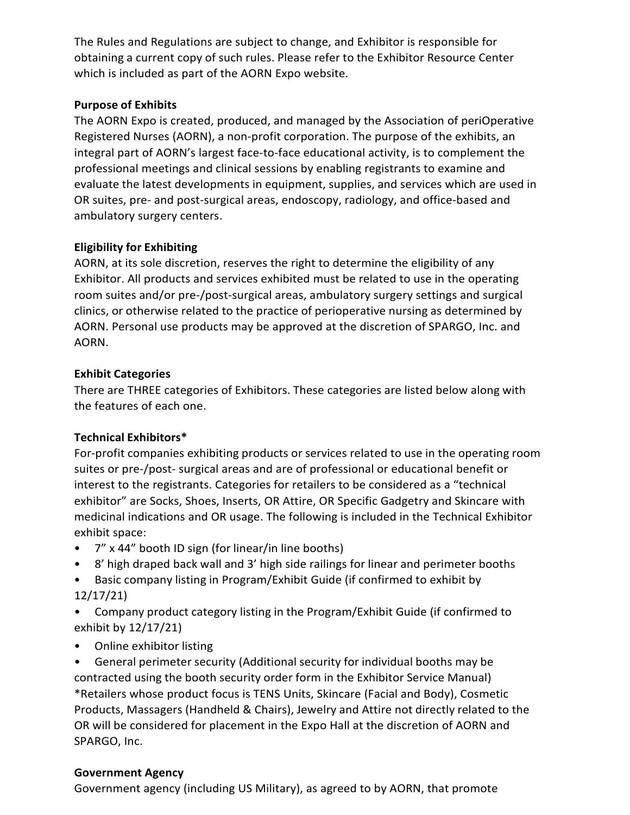The Rules and Regulations are subject to change, and Exhibitor is responsible for obtaining a current copy of such rules. Please refer to the Exhibitor Resource Center which is included as part of the AORN Expo website.

## **Purpose of Exhibits**

The AORN Expo is created, produced, and managed by the Association of periOperative Registered Nurses (AORN), a non-profit corporation. The purpose of the exhibits, an integral part of AORN's largest face-to-face educational activity, is to complement the professional meetings and clinical sessions by enabling registrants to examine and evaluate the latest developments in equipment, supplies, and services which are used in OR suites, pre- and post-surgical areas, endoscopy, radiology, and office-based and ambulatory surgery centers.

## **Eligibility for Exhibiting**

AORN, at its sole discretion, reserves the right to determine the eligibility of any Exhibitor. All products and services exhibited must be related to use in the operating room suites and/or pre-/post-surgical areas, ambulatory surgery settings and surgical clinics, or otherwise related to the practice of perioperative nursing as determined by AORN. Personal use products may be approved at the discretion of SPARGO, Inc. and AORN.

## **Exhibit Categories**

There are THREE categories of Exhibitors. These categories are listed below along with the features of each one.

# **Technical Exhibitors\***

For-profit companies exhibiting products or services related to use in the operating room suites or pre-/post- surgical areas and are of professional or educational benefit or interest to the registrants. Categories for retailers to be considered as a "technical exhibitor" are Socks, Shoes, Inserts, OR Attire, OR Specific Gadgetry and Skincare with medicinal indications and OR usage. The following is included in the Technical Exhibitor exhibit space:

- 7" x 44" booth ID sign (for linear/in line booths)
- 8' high draped back wall and 3' high side railings for linear and perimeter booths
- Basic company listing in Program/Exhibit Guide (if confirmed to exhibit by 12/17/21)
- Company product category listing in the Program/Exhibit Guide (if confirmed to exhibit by 12/17/21)
- Online exhibitor listing

• General perimeter security (Additional security for individual booths may be contracted using the booth security order form in the Exhibitor Service Manual) \*Retailers whose product focus is TENS Units, Skincare (Facial and Body), Cosmetic Products, Massagers (Handheld & Chairs), Jewelry and Attire not directly related to the OR will be considered for placement in the Expo Hall at the discretion of AORN and SPARGO, Inc.

## <span id="page-2-0"></span>**Government Agency**

Government agency (including US Military), as agreed to by AORN, that promote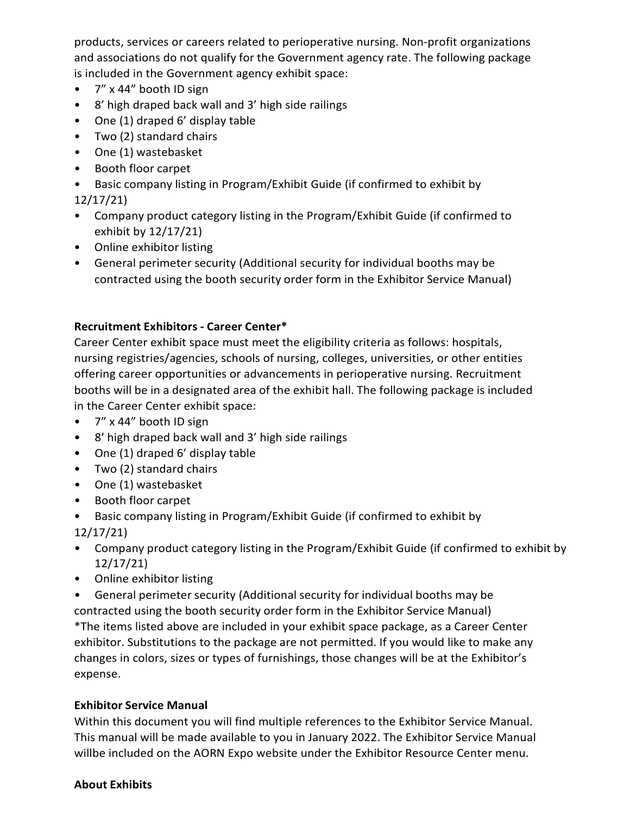products, services or careers related to perioperative nursing. Non-profit organizations and associations do not qualify for the Government agency rate. The following package is included in the Government agency exhibit space:

- 7" x 44" booth ID sign
- 8' high draped back wall and 3' high side railings
- One (1) draped 6' display table
- Two (2) standard chairs
- One (1) wastebasket
- Booth floor carpet
- Basic company listing in Program/Exhibit Guide (if confirmed to exhibit by 12/17/21)
- Company product category listing in the Program/Exhibit Guide (if confirmed to exhibit by 12/17/21)
- Online exhibitor listing
- General perimeter security (Additional security for individual booths may be contracted using the booth security order form in the Exhibitor Service Manual)

## **Recruitment Exhibitors - Career Center\***

Career Center exhibit space must meet the eligibility criteria as follows: hospitals, nursing registries/agencies, schools of nursing, colleges, universities, or other entities offering career opportunities or advancements in perioperative nursing. Recruitment booths will be in a designated area of the exhibit hall. The following package is included in the Career Center exhibit space:

- 7" x 44" booth ID sign
- 8' high draped back wall and 3' high side railings
- One (1) draped 6' display table
- Two (2) standard chairs
- One (1) wastebasket
- Booth floor carpet
- Basic company listing in Program/Exhibit Guide (if confirmed to exhibit by 12/17/21)
- Company product category listing in the Program/Exhibit Guide (if confirmed to exhibit by 12/17/21)
- Online exhibitor listing

• General perimeter security (Additional security for individual booths may be contracted using the booth security order form in the Exhibitor Service Manual) \*The items listed above are included in your exhibit space package, as a Career Center exhibitor. Substitutions to the package are not permitted. If you would like to make any changes in colors, sizes or types of furnishings, those changes will be at the Exhibitor's expense.

## <span id="page-3-0"></span>**Exhibitor Service Manual**

Within this document you will find multiple references to the Exhibitor Service Manual. This manual will be made available to you in January 2022. The Exhibitor Service Manual willbe included on the AORN Expo website under the Exhibitor Resource Center menu.

#### <span id="page-3-1"></span>**About Exhibits**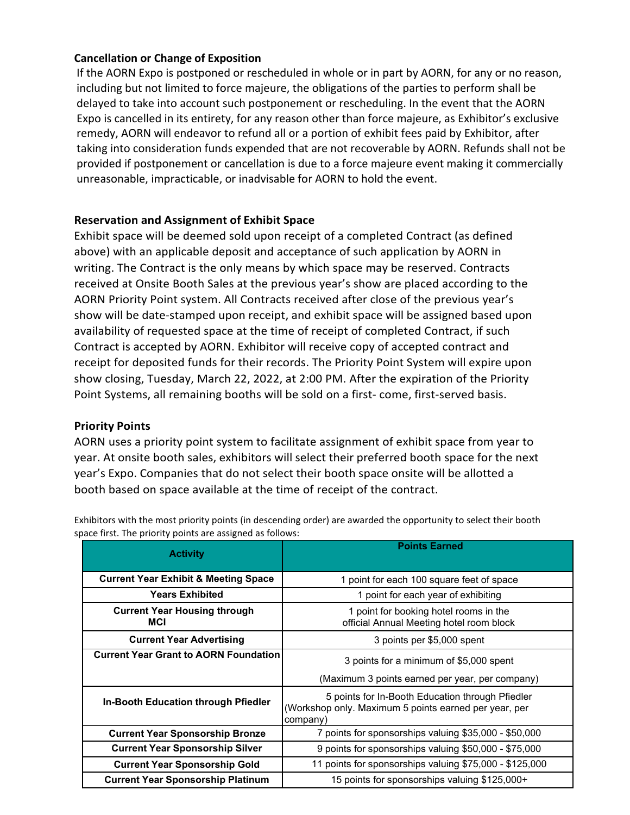### **Cancellation or Change of Exposition**

If the AORN Expo is postponed or rescheduled in whole or in part by AORN, for any or no reason, including but not limited to force majeure, the obligations of the parties to perform shall be delayed to take into account such postponement or rescheduling. In the event that the AORN Expo is cancelled in its entirety, for any reason other than force majeure, as Exhibitor's exclusive remedy, AORN will endeavor to refund all or a portion of exhibit fees paid by Exhibitor, after taking into consideration funds expended that are not recoverable by AORN. Refunds shall not be provided if postponement or cancellation is due to a force majeure event making it commercially unreasonable, impracticable, or inadvisable for AORN to hold the event.

### **Reservation and Assignment of Exhibit Space**

Exhibit space will be deemed sold upon receipt of a completed Contract (as defined above) with an applicable deposit and acceptance of such application by AORN in writing. The Contract is the only means by which space may be reserved. Contracts received at Onsite Booth Sales at the previous year's show are placed according to the AORN Priority Point system. All Contracts received after close of the previous year's show will be date-stamped upon receipt, and exhibit space will be assigned based upon availability of requested space at the time of receipt of completed Contract, if such Contract is accepted by AORN. Exhibitor will receive copy of accepted contract and receipt for deposited funds for their records. The Priority Point System will expire upon show closing, Tuesday, March 22, 2022, at 2:00 PM. After the expiration of the Priority Point Systems, all remaining booths will be sold on a first- come, first-served basis.

### <span id="page-4-1"></span>**Priority Points**

AORN uses a priority point system to facilitate assignment of exhibit space from year to year. At onsite booth sales, exhibitors will select their preferred booth space for the next year's Expo. Companies that do not select their booth space onsite will be allotted a booth based on space available at the time of receipt of the contract.

<span id="page-4-0"></span>

| <b>Activity</b>                                   | <b>Points Earned</b>                                                                                                  |
|---------------------------------------------------|-----------------------------------------------------------------------------------------------------------------------|
| <b>Current Year Exhibit &amp; Meeting Space</b>   | 1 point for each 100 square feet of space                                                                             |
| <b>Years Exhibited</b>                            | 1 point for each year of exhibiting                                                                                   |
| <b>Current Year Housing through</b><br><b>MCI</b> | 1 point for booking hotel rooms in the<br>official Annual Meeting hotel room block                                    |
| <b>Current Year Advertising</b>                   | 3 points per \$5,000 spent                                                                                            |
| <b>Current Year Grant to AORN Foundation</b>      | 3 points for a minimum of \$5,000 spent                                                                               |
|                                                   | (Maximum 3 points earned per year, per company)                                                                       |
| <b>In-Booth Education through Pfiedler</b>        | 5 points for In-Booth Education through Pfiedler<br>(Workshop only. Maximum 5 points earned per year, per<br>company) |
| <b>Current Year Sponsorship Bronze</b>            | 7 points for sponsorships valuing \$35,000 - \$50,000                                                                 |
| <b>Current Year Sponsorship Silver</b>            | 9 points for sponsorships valuing \$50,000 - \$75,000                                                                 |
| <b>Current Year Sponsorship Gold</b>              | 11 points for sponsorships valuing \$75,000 - \$125,000                                                               |
| <b>Current Year Sponsorship Platinum</b>          | 15 points for sponsorships valuing \$125,000+                                                                         |

Exhibitors with the most priority points (in descending order) are awarded the opportunity to select their booth space first. The priority points are assigned as follows: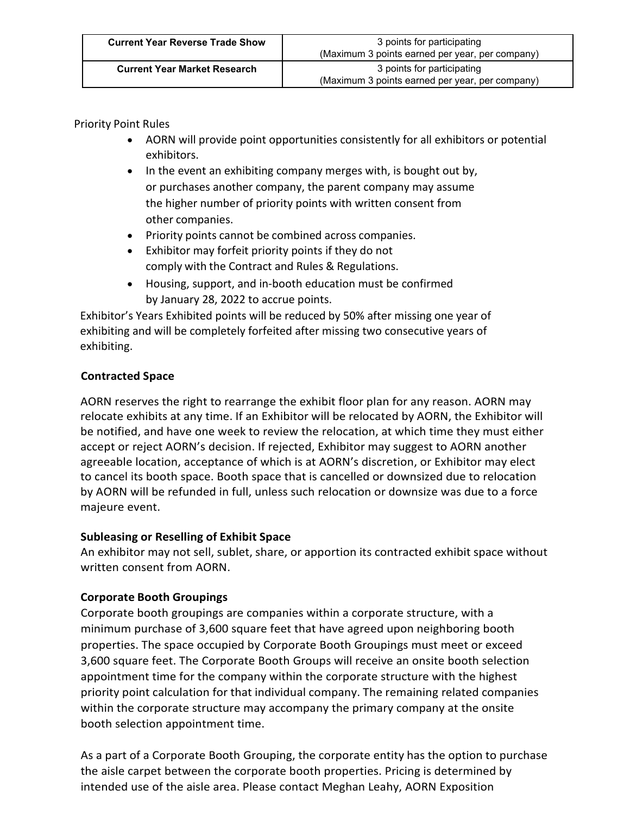Priority Point Rules

- AORN will provide point opportunities consistently for all exhibitors or potential exhibitors.
- In the event an exhibiting company merges with, is bought out by, or purchases another company, the parent company may assume the higher number of priority points with written consent from other companies.
- Priority points cannot be combined across companies.
- Exhibitor may forfeit priority points if they do not comply with the Contract and Rules & Regulations.
- Housing, support, and in-booth education must be confirmed by January 28, 2022 to accrue points.

Exhibitor's Years Exhibited points will be reduced by 50% after missing one year of exhibiting and will be completely forfeited after missing two consecutive years of exhibiting.

# **Contracted Space**

AORN reserves the right to rearrange the exhibit floor plan for any reason. AORN may relocate exhibits at any time. If an Exhibitor will be relocated by AORN, the Exhibitor will be notified, and have one week to review the relocation, at which time they must either accept or reject AORN's decision. If rejected, Exhibitor may suggest to AORN another agreeable location, acceptance of which is at AORN's discretion, or Exhibitor may elect to cancel its booth space. Booth space that is cancelled or downsized due to relocation by AORN will be refunded in full, unless such relocation or downsize was due to a force majeure event.

# **Subleasing or Reselling of Exhibit Space**

An exhibitor may not sell, sublet, share, or apportion its contracted exhibit space without written consent from AORN.

# <span id="page-5-0"></span>**Corporate Booth Groupings**

Corporate booth groupings are companies within a corporate structure, with a minimum purchase of 3,600 square feet that have agreed upon neighboring booth properties. The space occupied by Corporate Booth Groupings must meet or exceed 3,600 square feet. The Corporate Booth Groups will receive an onsite booth selection appointment time for the company within the corporate structure with the highest priority point calculation for that individual company. The remaining related companies within the corporate structure may accompany the primary company at the onsite booth selection appointment time.

As a part of a Corporate Booth Grouping, the corporate entity has the option to purchase the aisle carpet between the corporate booth properties. Pricing is determined by intended use of the aisle area. Please contact Meghan Leahy, AORN Exposition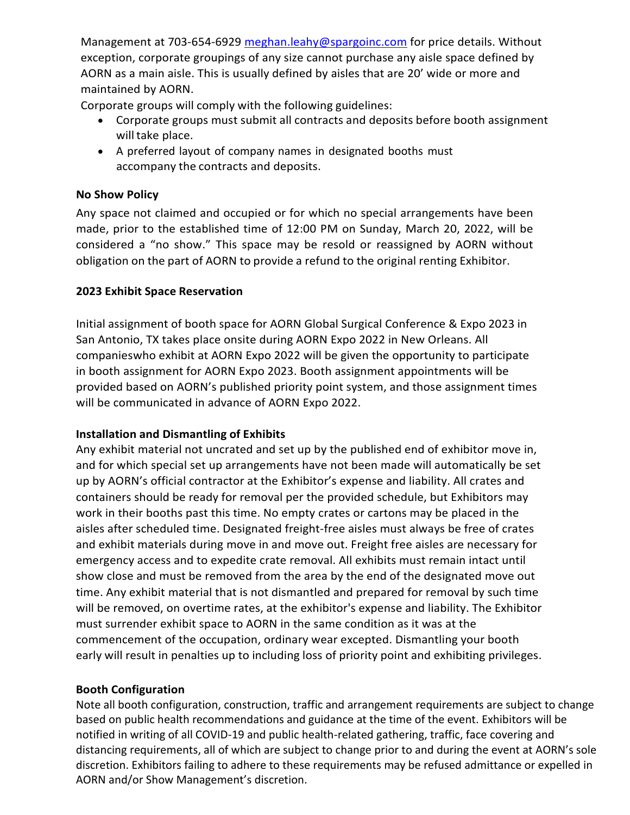Management at 703-654-6929 [meghan.leahy@spargoinc.com](mailto:meghan.leahy@spargoinc.com) for price details. Without exception, corporate groupings of any size cannot purchase any aisle space defined by AORN as a main aisle. This is usually defined by aisles that are 20' wide or more and maintained by AORN.

Corporate groups will comply with the following guidelines:

- Corporate groups must submit all contracts and deposits before booth assignment will take place.
- A preferred layout of company names in designated booths must accompany the contracts and deposits.

## <span id="page-6-0"></span>**No Show Policy**

Any space not claimed and occupied or for which no special arrangements have been made, prior to the established time of 12:00 PM on Sunday, March 20, 2022, will be considered a "no show." This space may be resold or reassigned by AORN without obligation on the part of AORN to provide a refund to the original renting Exhibitor.

## **2023 Exhibit Space Reservation**

Initial assignment of booth space for AORN Global Surgical Conference & Expo 2023 in San Antonio, TX takes place onsite during AORN Expo 2022 in New Orleans. All companieswho exhibit at AORN Expo 2022 will be given the opportunity to participate in booth assignment for AORN Expo 2023. Booth assignment appointments will be provided based on AORN's published priority point system, and those assignment times will be communicated in advance of AORN Expo 2022.

## <span id="page-6-1"></span>**Installation and Dismantling of Exhibits**

Any exhibit material not uncrated and set up by the published end of exhibitor move in, and for which special set up arrangements have not been made will automatically be set up by AORN's official contractor at the Exhibitor's expense and liability. All crates and containers should be ready for removal per the provided schedule, but Exhibitors may work in their booths past this time. No empty crates or cartons may be placed in the aisles after scheduled time. Designated freight-free aisles must always be free of crates and exhibit materials during move in and move out. Freight free aisles are necessary for emergency access and to expedite crate removal. All exhibits must remain intact until show close and must be removed from the area by the end of the designated move out time. Any exhibit material that is not dismantled and prepared for removal by such time will be removed, on overtime rates, at the exhibitor's expense and liability. The Exhibitor must surrender exhibit space to AORN in the same condition as it was at the commencement of the occupation, ordinary wear excepted. Dismantling your booth early will result in penalties up to including loss of priority point and exhibiting privileges.

# <span id="page-6-2"></span>**Booth Configuration**

Note all booth configuration, construction, traffic and arrangement requirements are subject to change based on public health recommendations and guidance at the time of the event. Exhibitors will be notified in writing of all COVID-19 and public health-related gathering, traffic, face covering and distancing requirements, all of which are subject to change prior to and during the event at AORN's sole discretion. Exhibitors failing to adhere to these requirements may be refused admittance or expelled in AORN and/or Show Management's discretion.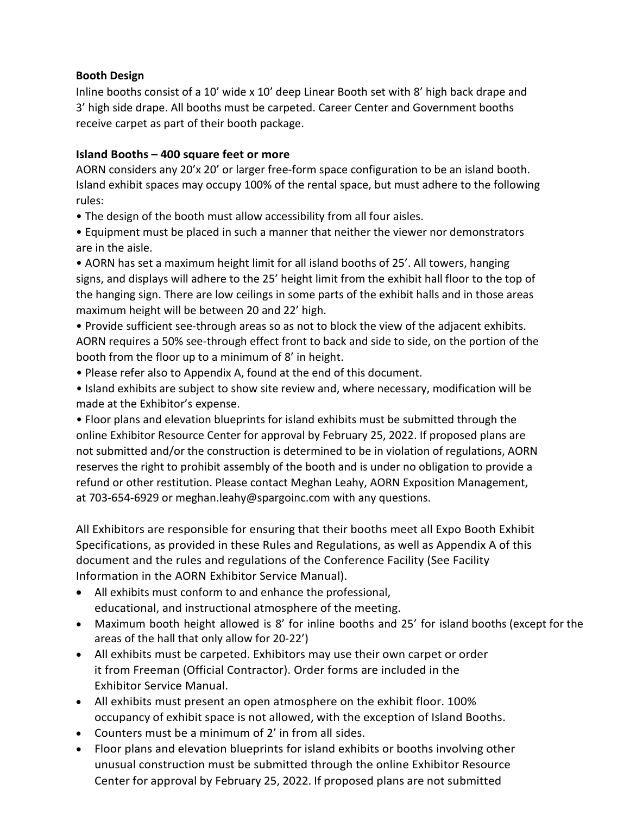## **Booth Design**

Inline booths consist of a 10' wide x 10' deep Linear Booth set with 8' high back drape and 3' high side drape. All booths must be carpeted. Career Center and Government booths receive carpet as part of their booth package.

## **Island Booths – 400 square feet or more**

AORN considers any 20'x 20' or larger free-form space configuration to be an island booth. Island exhibit spaces may occupy 100% of the rental space, but must adhere to the following rules:

- The design of the booth must allow accessibility from all four aisles.
- Equipment must be placed in such a manner that neither the viewer nor demonstrators are in the aisle.

• AORN has set a maximum height limit for all island booths of 25'. All towers, hanging signs, and displays will adhere to the 25' height limit from the exhibit hall floor to the top of the hanging sign. There are low ceilings in some parts of the exhibit halls and in those areas maximum height will be between 20 and 22' high.

• Provide sufficient see-through areas so as not to block the view of the adjacent exhibits. AORN requires a 50% see-through effect front to back and side to side, on the portion of the booth from the floor up to a minimum of 8' in height.

- Please refer also to Appendix A, found at the end of this document.
- Island exhibits are subject to show site review and, where necessary, modification will be made at the Exhibitor's expense.

• Floor plans and elevation blueprints for island exhibits must be submitted through the online Exhibitor Resource Center for approval by February 25, 2022. If proposed plans are not submitted and/or the construction is determined to be in violation of regulations, AORN reserves the right to prohibit assembly of the booth and is under no obligation to provide a refund or other restitution. Please contact Meghan Leahy, AORN Exposition Management, at 703-654-6929 or meghan.leahy@spargoinc.com with any questions.

All Exhibitors are responsible for ensuring that their booths meet all Expo Booth Exhibit Specifications, as provided in these Rules and Regulations, as well as Appendix A of this document and the rules and regulations of the Conference Facility (See Facility Information in the AORN Exhibitor Service Manual).

- All exhibits must conform to and enhance the professional, educational, and instructional atmosphere of the meeting.
- Maximum booth height allowed is 8' for inline booths and 25' for island booths (except for the areas of the hall that only allow for 20-22')
- All exhibits must be carpeted. Exhibitors may use their own carpet or order it from Freeman (Official Contractor). Order forms are included in the Exhibitor Service Manual.
- All exhibits must present an open atmosphere on the exhibit floor. 100% occupancy of exhibit space is not allowed, with the exception of Island Booths.
- Counters must be a minimum of 2' in from all sides.
- Floor plans and elevation blueprints for island exhibits or booths involving other unusual construction must be submitted through the online Exhibitor Resource Center for approval by February 25, 2022. If proposed plans are not submitted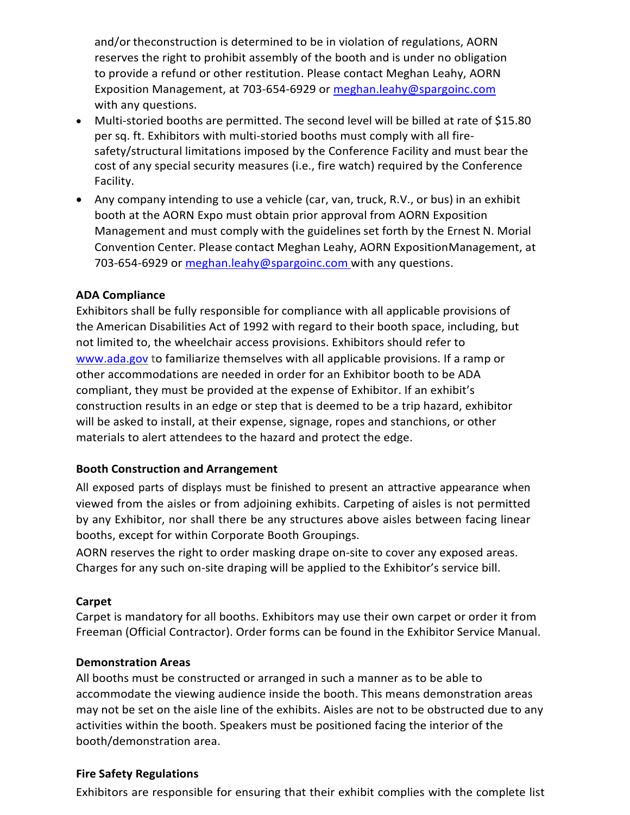and/or theconstruction is determined to be in violation of regulations, AORN reserves the right to prohibit assembly of the booth and is under no obligation to provide a refund or other restitution. Please contact Meghan Leahy, AORN Exposition Management, at 703-654-6929 or [meghan.leahy@spargoinc.com](mailto:meghan.leahy@spargoinc.com) with any questions.

- Multi-storied booths are permitted. The second level will be billed at rate of \$15.80 per sq. ft. Exhibitors with multi-storied booths must comply with all firesafety/structural limitations imposed by the Conference Facility and must bear the cost of any special security measures (i.e., fire watch) required by the Conference Facility.
- Any company intending to use a vehicle (car, van, truck, R.V., or bus) in an exhibit booth at the AORN Expo must obtain prior approval from AORN Exposition Management and must comply with the guidelines set forth by the Ernest N. Morial Convention Center. Please contact Meghan Leahy, AORN ExpositionManagement, at 703-654-6929 or [meghan.leahy@spargoinc.com w](mailto:meghan.leahy@spargoinc.com)ith any questions.

### <span id="page-8-0"></span>**ADA Compliance**

Exhibitors shall be fully responsible for compliance with all applicable provisions of the American Disabilities Act of 1992 with regard to their booth space, including, but not limited to, the wheelchair access provisions. Exhibitors should refer to [www.ada.gov](http://www.ada.gov/) to familiarize themselves with all applicable provisions. If a ramp or other accommodations are needed in order for an Exhibitor booth to be ADA compliant, they must be provided at the expense of Exhibitor. If an exhibit's construction results in an edge or step that is deemed to be a trip hazard, exhibitor will be asked to install, at their expense, signage, ropes and stanchions, or other materials to alert attendees to the hazard and protect the edge.

#### <span id="page-8-1"></span>**Booth Construction and Arrangement**

All exposed parts of displays must be finished to present an attractive appearance when viewed from the aisles or from adjoining exhibits. Carpeting of aisles is not permitted by any Exhibitor, nor shall there be any structures above aisles between facing linear booths, except for within Corporate Booth Groupings.

AORN reserves the right to order masking drape on-site to cover any exposed areas. Charges for any such on-site draping will be applied to the Exhibitor's service bill.

#### <span id="page-8-2"></span>**Carpet**

Carpet is mandatory for all booths. Exhibitors may use their own carpet or order it from Freeman (Official Contractor). Order forms can be found in the Exhibitor Service Manual.

#### <span id="page-8-3"></span>**Demonstration Areas**

All booths must be constructed or arranged in such a manner as to be able to accommodate the viewing audience inside the booth. This means demonstration areas may not be set on the aisle line of the exhibits. Aisles are not to be obstructed due to any activities within the booth. Speakers must be positioned facing the interior of the booth/demonstration area.

#### <span id="page-8-4"></span>**Fire Safety Regulations**

Exhibitors are responsible for ensuring that their exhibit complies with the complete list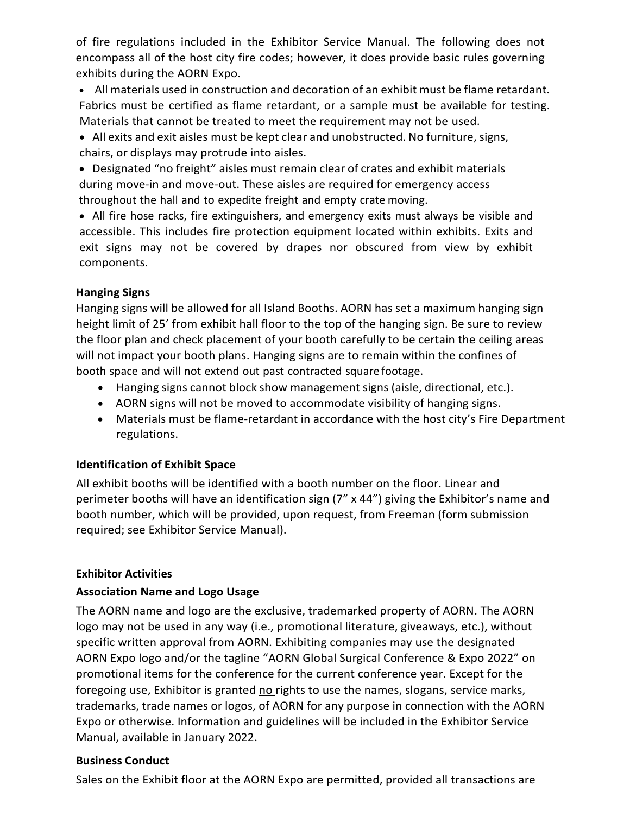of fire regulations included in the Exhibitor Service Manual. The following does not encompass all of the host city fire codes; however, it does provide basic rules governing exhibits during the AORN Expo.

• All materials used in construction and decoration of an exhibit must be flame retardant. Fabrics must be certified as flame retardant, or a sample must be available for testing. Materials that cannot be treated to meet the requirement may not be used.

• All exits and exit aisles must be kept clear and unobstructed. No furniture, signs, chairs, or displays may protrude into aisles.

• Designated "no freight" aisles must remain clear of crates and exhibit materials during move-in and move-out. These aisles are required for emergency access throughout the hall and to expedite freight and empty crate moving.

• All fire hose racks, fire extinguishers, and emergency exits must always be visible and accessible. This includes fire protection equipment located within exhibits. Exits and exit signs may not be covered by drapes nor obscured from view by exhibit components.

### <span id="page-9-0"></span>**Hanging Signs**

Hanging signs will be allowed for all Island Booths. AORN has set a maximum hanging sign height limit of 25' from exhibit hall floor to the top of the hanging sign. Be sure to review the floor plan and check placement of your booth carefully to be certain the ceiling areas will not impact your booth plans. Hanging signs are to remain within the confines of booth space and will not extend out past contracted square footage.

- Hanging signs cannot block show management signs (aisle, directional, etc.).
- AORN signs will not be moved to accommodate visibility of hanging signs.
- Materials must be flame-retardant in accordance with the host city's Fire Department regulations.

## <span id="page-9-1"></span>**Identification of Exhibit Space**

All exhibit booths will be identified with a booth number on the floor. Linear and perimeter booths will have an identification sign (7" x 44") giving the Exhibitor's name and booth number, which will be provided, upon request, from Freeman (form submission required; see Exhibitor Service Manual).

## <span id="page-9-2"></span>**Exhibitor Activities**

## <span id="page-9-3"></span>**Association Name and Logo Usage**

The AORN name and logo are the exclusive, trademarked property of AORN. The AORN logo may not be used in any way (i.e., promotional literature, giveaways, etc.), without specific written approval from AORN. Exhibiting companies may use the designated AORN Expo logo and/or the tagline "AORN Global Surgical Conference & Expo 2022" on promotional items for the conference for the current conference year. Except for the foregoing use, Exhibitor is granted no rights to use the names, slogans, service marks, trademarks, trade names or logos, of AORN for any purpose in connection with the AORN Expo or otherwise. Information and guidelines will be included in the Exhibitor Service Manual, available in January 2022.

## <span id="page-9-4"></span>**Business Conduct**

Sales on the Exhibit floor at the AORN Expo are permitted, provided all transactions are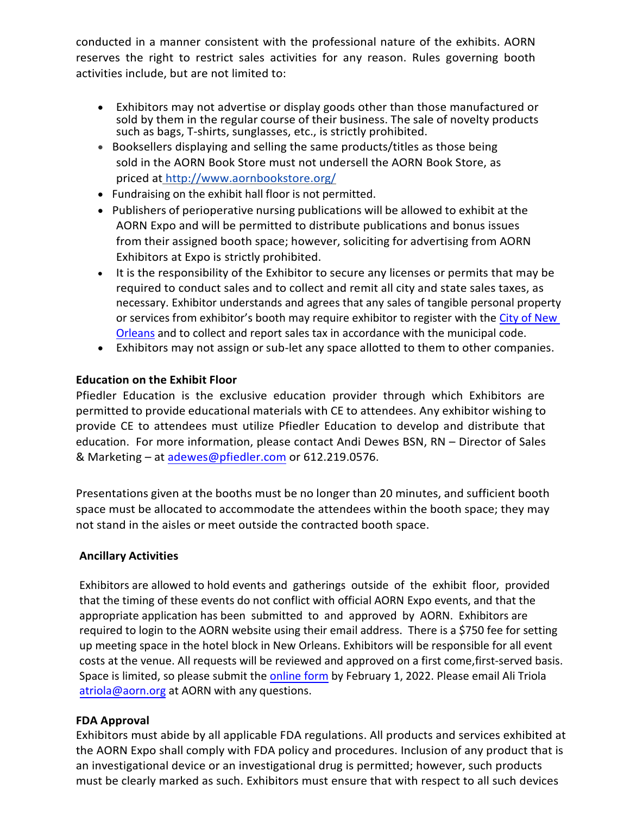conducted in a manner consistent with the professional nature of the exhibits. AORN reserves the right to restrict sales activities for any reason. Rules governing booth activities include, but are not limited to:

- Exhibitors may not advertise or display goods other than those manufactured or sold by them in the regular course of their business. The sale of novelty products such as bags, T-shirts, sunglasses, etc., is strictly prohibited.
- Booksellers displaying and selling the same products/titles as those being sold in the AORN Book Store must not undersell the AORN Book Store, as priced at <http://www.aornbookstore.org/>
- Fundraising on the exhibit hall floor is not permitted.
- Publishers of perioperative nursing publications will be allowed to exhibit at the AORN Expo and will be permitted to distribute publications and bonus issues from their assigned booth space; however, soliciting for advertising from AORN Exhibitors at Expo is strictly prohibited.
- It is the responsibility of the Exhibitor to secure any licenses or permits that may be required to conduct sales and to collect and remit all city and state sales taxes, as necessary. Exhibitor understands and agrees that any sales of tangible personal property or services from exhibitor's booth may require exhibitor to register with the [City of New](https://nola.gov/onestop/events/food-sales-preparations/retail-sales/) [Orleans](https://nola.gov/onestop/events/food-sales-preparations/retail-sales/) and to collect and report sales tax in accordance with the municipal code.
- Exhibitors may not assign or sub-let any space allotted to them to other companies.

## <span id="page-10-0"></span>**Education on the Exhibit Floor**

Pfiedler Education is the exclusive education provider through which Exhibitors are permitted to provide educational materials with CE to attendees. Any exhibitor wishing to provide CE to attendees must utilize Pfiedler Education to develop and distribute that education. For more information, please contact Andi Dewes BSN, RN – Director of Sales & Marketing – a[t adewes@pfiedler.com](mailto:adewes@pfiedler.com) or 612.219.0576.

Presentations given at the booths must be no longer than 20 minutes, and sufficient booth space must be allocated to accommodate the attendees within the booth space; they may not stand in the aisles or meet outside the contracted booth space.

## <span id="page-10-1"></span>**Ancillary Activities**

Exhibitors are allowed to hold events and gatherings outside of the exhibit floor, provided that the timing of these events do not conflict with official AORN Expo events, and that the appropriate application has been submitted to and approved by AORN. Exhibitors are required to login to the AORN website using their email address. There is a \$750 fee for setting up meeting space in the hotel block in New Orleans. Exhibitors will be responsible for all event costs at the venue. All requests will be reviewed and approved on a first come, first-served basis. Space is limited, so please submit the [online form](https://www.aorn.org/Member_Apps/form/ExhibitorMeetingRequests) by February 1, 2022. Please email Ali Triola atriola@aorn.org at AORN with any questions.

## <span id="page-10-2"></span>**FDA Approval**

Exhibitors must abide by all applicable FDA regulations. All products and services exhibited at the AORN Expo shall comply with FDA policy and procedures. Inclusion of any product that is an investigational device or an investigational drug is permitted; however, such products must be clearly marked as such. Exhibitors must ensure that with respect to all such devices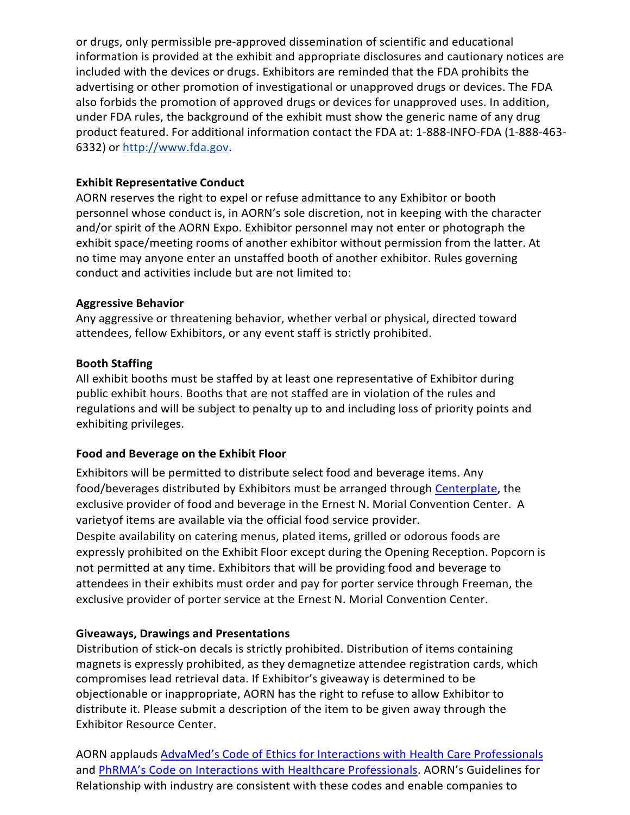or drugs, only permissible pre-approved dissemination of scientific and educational information is provided at the exhibit and appropriate disclosures and cautionary notices are included with the devices or drugs. Exhibitors are reminded that the FDA prohibits the advertising or other promotion of investigational or unapproved drugs or devices. The FDA also forbids the promotion of approved drugs or devices for unapproved uses. In addition, under FDA rules, the background of the exhibit must show the generic name of any drug product featured. For additional information contact the FDA at: 1-888-INFO-FDA (1-888-463- 6332) or [http://www.fda.gov.](http://www.fda.gov/)

## <span id="page-11-0"></span>**Exhibit Representative Conduct**

AORN reserves the right to expel or refuse admittance to any Exhibitor or booth personnel whose conduct is, in AORN's sole discretion, not in keeping with the character and/or spirit of the AORN Expo. Exhibitor personnel may not enter or photograph the exhibit space/meeting rooms of another exhibitor without permission from the latter. At no time may anyone enter an unstaffed booth of another exhibitor. Rules governing conduct and activities include but are not limited to:

## <span id="page-11-1"></span>**Aggressive Behavior**

Any aggressive or threatening behavior, whether verbal or physical, directed toward attendees, fellow Exhibitors, or any event staff is strictly prohibited.

## <span id="page-11-2"></span>**Booth Staffing**

All exhibit booths must be staffed by at least one representative of Exhibitor during public exhibit hours. Booths that are not staffed are in violation of the rules and regulations and will be subject to penalty up to and including loss of priority points and exhibiting privileges.

# **Food and Beverage on the Exhibit Floor**

Exhibitors will be permitted to distribute select food and beverage items. Any food/beverages distributed by Exhibitors must be arranged through [Centerplate,](https://mccno.com/wp-content/uploads/2020/08/NOLA-Exhibit-Catering-Menu.-Making-it-Safer-to-Be-There-V2.pdf) the exclusive provider of food and beverage in the Ernest N. Morial Convention Center. A varietyof items are available via the official food service provider. Despite availability on catering menus, plated items, grilled or odorous foods are expressly prohibited on the Exhibit Floor except during the Opening Reception. Popcorn is not permitted at any time. Exhibitors that will be providing food and beverage to

attendees in their exhibits must order and pay for porter service through Freeman, the exclusive provider of porter service at the Ernest N. Morial Convention Center.

# **Giveaways, Drawings and Presentations**

Distribution of stick-on decals is strictly prohibited. Distribution of items containing magnets is expressly prohibited, as they demagnetize attendee registration cards, which compromises lead retrieval data. If Exhibitor's giveaway is determined to be objectionable or inappropriate, AORN has the right to refuse to allow Exhibitor to distribute it. Please submit a description of the item to be given away through the Exhibitor Resource Center.

AORN applauds AdvaMed's Code of Ethics for Interactions with Health Care [Professionals](http://advamed.org/res/112/advamed-code-of-ethics-on-interactions-with-health-care-professionals) and [PhRMA's Code on Interactions with Healthcare Professionals. A](http://www.phrma.org/sites/default/files/pdf/phrma_marketing_code_2008.pdf)ORN's Guidelines for Relationship with industry are consistent with these codes and enable companies to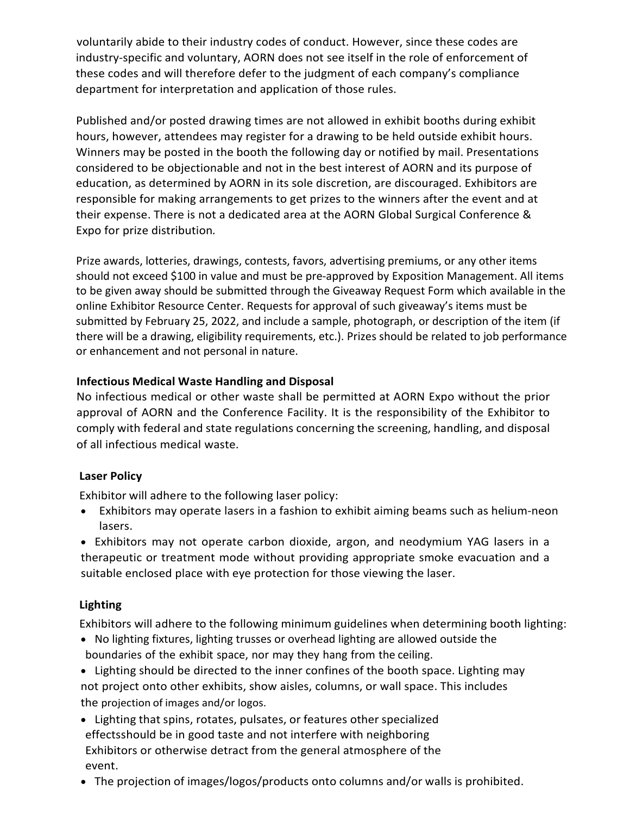voluntarily abide to their industry codes of conduct. However, since these codes are industry-specific and voluntary, AORN does not see itself in the role of enforcement of these codes and will therefore defer to the judgment of each company's compliance department for interpretation and application of those rules.

Published and/or posted drawing times are not allowed in exhibit booths during exhibit hours, however, attendees may register for a drawing to be held outside exhibit hours. Winners may be posted in the booth the following day or notified by mail. Presentations considered to be objectionable and not in the best interest of AORN and its purpose of education, as determined by AORN in its sole discretion, are discouraged. Exhibitors are responsible for making arrangements to get prizes to the winners after the event and at their expense. There is not a dedicated area at the AORN Global Surgical Conference & Expo for prize distribution*.*

Prize awards, lotteries, drawings, contests, favors, advertising premiums, or any other items should not exceed \$100 in value and must be pre-approved by Exposition Management. All items to be given away should be submitted through the Giveaway Request Form which available in the online Exhibitor Resource Center. Requests for approval of such giveaway's items must be submitted by February 25, 2022, and include a sample, photograph, or description of the item (if there will be a drawing, eligibility requirements, etc.). Prizes should be related to job performance or enhancement and not personal in nature.

## <span id="page-12-1"></span>**Infectious Medical Waste Handling and Disposal**

No infectious medical or other waste shall be permitted at AORN Expo without the prior approval of AORN and the Conference Facility. It is the responsibility of the Exhibitor to comply with federal and state regulations concerning the screening, handling, and disposal of all infectious medical waste.

## <span id="page-12-2"></span><span id="page-12-0"></span>**Laser Policy**

Exhibitor will adhere to the following laser policy:

- Exhibitors may operate lasers in a fashion to exhibit aiming beams such as helium-neon lasers.
- Exhibitors may not operate carbon dioxide, argon, and neodymium YAG lasers in a therapeutic or treatment mode without providing appropriate smoke evacuation and a suitable enclosed place with eye protection for those viewing the laser.

# <span id="page-12-3"></span>**Lighting**

Exhibitors will adhere to the following minimum guidelines when determining booth lighting:

- No lighting fixtures, lighting trusses or overhead lighting are allowed outside the boundaries of the exhibit space, nor may they hang from the ceiling.
- Lighting should be directed to the inner confines of the booth space. Lighting may not project onto other exhibits, show aisles, columns, or wall space. This includes the projection of images and/or logos.
- Lighting that spins, rotates, pulsates, or features other specialized effectsshould be in good taste and not interfere with neighboring Exhibitors or otherwise detract from the general atmosphere of the event.
- The projection of images/logos/products onto columns and/or walls is prohibited.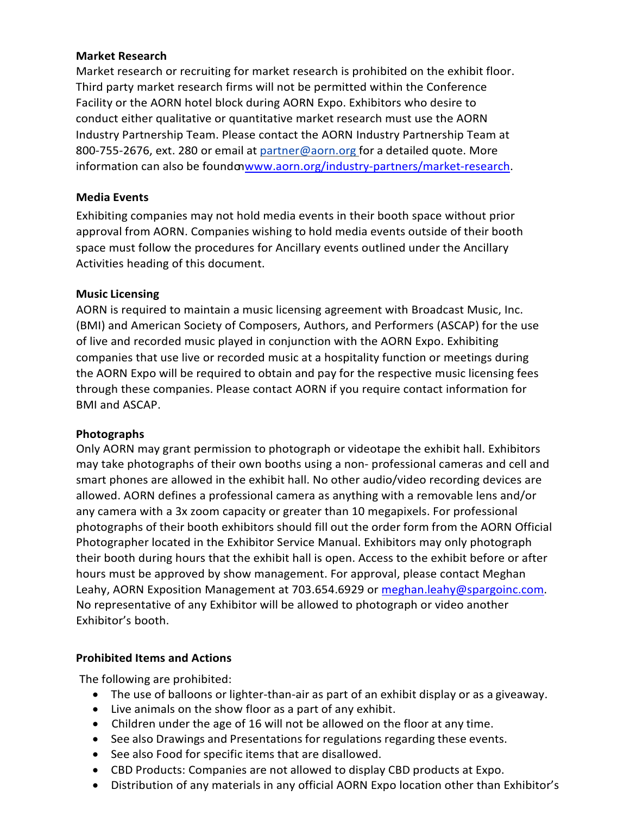### <span id="page-13-0"></span>**Market Research**

Market research or recruiting for market research is prohibited on the exhibit floor. Third party market research firms will not be permitted within the Conference Facility or the AORN hotel block during AORN Expo. Exhibitors who desire to conduct either qualitative or quantitative market research must use the AORN Industry Partnership Team. Please contact the AORN Industry Partnership Team at 800-755-2676, ext. 280 or email at [partner@aorn.org](mailto:industry@aorn.org) for a detailed quote. More information can also be foundo[nwww.aorn.org/industry-partners/market-research.](http://www.aorn.org/industry-partners/market-research)

#### <span id="page-13-1"></span>**Media Events**

Exhibiting companies may not hold media events in their booth space without prior approval from AORN. Companies wishing to hold media events outside of their booth space must follow the procedures for Ancillary events outlined under the Ancillary Activities heading of this document.

#### <span id="page-13-2"></span>**Music Licensing**

AORN is required to maintain a music licensing agreement with Broadcast Music, Inc. (BMI) and American Society of Composers, Authors, and Performers (ASCAP) for the use of live and recorded music played in conjunction with the AORN Expo. Exhibiting companies that use live or recorded music at a hospitality function or meetings during the AORN Expo will be required to obtain and pay for the respective music licensing fees through these companies. Please contact AORN if you require contact information for BMI and ASCAP.

#### <span id="page-13-3"></span>**Photographs**

Only AORN may grant permission to photograph or videotape the exhibit hall. Exhibitors may take photographs of their own booths using a non- professional cameras and cell and smart phones are allowed in the exhibit hall. No other audio/video recording devices are allowed. AORN defines a professional camera as anything with a removable lens and/or any camera with a 3x zoom capacity or greater than 10 megapixels. For professional photographs of their booth exhibitors should fill out the order form from the AORN Official Photographer located in the Exhibitor Service Manual. Exhibitors may only photograph their booth during hours that the exhibit hall is open. Access to the exhibit before or after hours must be approved by show management. For approval, please contact Meghan Leahy, AORN Exposition Management at 703.654.6929 or [meghan.leahy@spargoinc.com.](mailto:meghan.leahy@spargoinc.com) No representative of any Exhibitor will be allowed to photograph or video another Exhibitor's booth.

### <span id="page-13-4"></span>**Prohibited Items and Actions**

The following are prohibited:

- The use of balloons or lighter-than-air as part of an exhibit display or as a giveaway.
- Live animals on the show floor as a part of any exhibit.
- Children under the age of 16 will not be allowed on the floor at any time.
- See also Drawings and Presentations for regulations regarding these events.
- See also Food for specific items that are disallowed.
- CBD Products: Companies are not allowed to display CBD products at Expo.
- Distribution of any materials in any official AORN Expo location other than Exhibitor's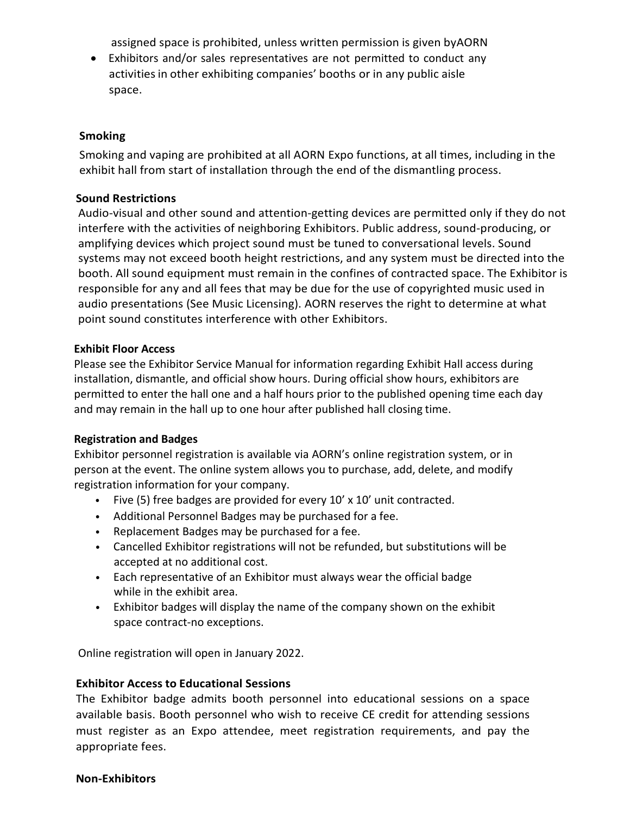assigned space is prohibited, unless written permission is given byAORN

• Exhibitors and/or sales representatives are not permitted to conduct any activities in other exhibiting companies' booths or in any public aisle space.

### <span id="page-14-0"></span>**Smoking**

Smoking and vaping are prohibited at all AORN Expo functions, at all times, including in the exhibit hall from start of installation through the end of the dismantling process.

### <span id="page-14-1"></span>**Sound Restrictions**

Audio-visual and other sound and attention-getting devices are permitted only if they do not interfere with the activities of neighboring Exhibitors. Public address, sound-producing, or amplifying devices which project sound must be tuned to conversational levels. Sound systems may not exceed booth height restrictions, and any system must be directed into the booth. All sound equipment must remain in the confines of contracted space. The Exhibitor is responsible for any and all fees that may be due for the use of copyrighted music used in audio presentations (See Music Licensing). AORN reserves the right to determine at what point sound constitutes interference with other Exhibitors.

### <span id="page-14-2"></span>**Exhibit Floor Access**

Please see the Exhibitor Service Manual for information regarding Exhibit Hall access during installation, dismantle, and official show hours. During official show hours, exhibitors are permitted to enter the hall one and a half hours prior to the published opening time each day and may remain in the hall up to one hour after published hall closing time.

## <span id="page-14-3"></span>**Registration and Badges**

Exhibitor personnel registration is available via AORN's online registration system, or in person at the event. The online system allows you to purchase, add, delete, and modify registration information for your company.

- Five (5) free badges are provided for every 10' x 10' unit contracted.
- Additional Personnel Badges may be purchased for a fee.
- Replacement Badges may be purchased for a fee.
- Cancelled Exhibitor registrations will not be refunded, but substitutions will be accepted at no additional cost.
- Each representative of an Exhibitor must always wear the official badge while in the exhibit area.
- Exhibitor badges will display the name of the company shown on the exhibit space contract-no exceptions.

Online registration will open in January 2022.

### <span id="page-14-4"></span>**Exhibitor Access to Educational Sessions**

The Exhibitor badge admits booth personnel into educational sessions on a space available basis. Booth personnel who wish to receive CE credit for attending sessions must register as an Expo attendee, meet registration requirements, and pay the appropriate fees.

#### <span id="page-14-5"></span>**Non-Exhibitors**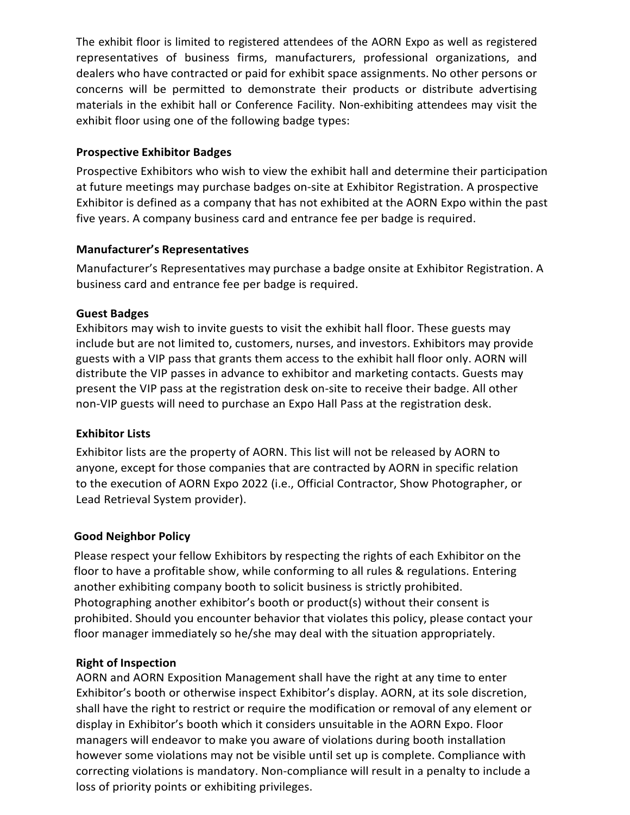The exhibit floor is limited to registered attendees of the AORN Expo as well as registered representatives of business firms, manufacturers, professional organizations, and dealers who have contracted or paid for exhibit space assignments. No other persons or concerns will be permitted to demonstrate their products or distribute advertising materials in the exhibit hall or Conference Facility. Non-exhibiting attendees may visit the exhibit floor using one of the following badge types:

## <span id="page-15-0"></span>**Prospective Exhibitor Badges**

Prospective Exhibitors who wish to view the exhibit hall and determine their participation at future meetings may purchase badges on-site at Exhibitor Registration. A prospective Exhibitor is defined as a company that has not exhibited at the AORN Expo within the past five years. A company business card and entrance fee per badge is required.

## <span id="page-15-1"></span>**Manufacturer's Representatives**

Manufacturer's Representatives may purchase a badge onsite at Exhibitor Registration. A business card and entrance fee per badge is required.

### <span id="page-15-2"></span>**Guest Badges**

Exhibitors may wish to invite guests to visit the exhibit hall floor. These guests may include but are not limited to, customers, nurses, and investors. Exhibitors may provide guests with a VIP pass that grants them access to the exhibit hall floor only. AORN will distribute the VIP passes in advance to exhibitor and marketing contacts. Guests may present the VIP pass at the registration desk on-site to receive their badge. All other non-VIP guests will need to purchase an Expo Hall Pass at the registration desk.

## <span id="page-15-3"></span>**Exhibitor Lists**

Exhibitor lists are the property of AORN. This list will not be released by AORN to anyone, except for those companies that are contracted by AORN in specific relation to the execution of AORN Expo 2022 (i.e., Official Contractor, Show Photographer, or Lead Retrieval System provider).

### <span id="page-15-4"></span>**Good Neighbor Policy**

Please respect your fellow Exhibitors by respecting the rights of each Exhibitor on the floor to have a profitable show, while conforming to all rules & regulations. Entering another exhibiting company booth to solicit business is strictly prohibited. Photographing another exhibitor's booth or product(s) without their consent is prohibited. Should you encounter behavior that violates this policy, please contact your floor manager immediately so he/she may deal with the situation appropriately.

### <span id="page-15-5"></span>**Right of Inspection**

AORN and AORN Exposition Management shall have the right at any time to enter Exhibitor's booth or otherwise inspect Exhibitor's display. AORN, at its sole discretion, shall have the right to restrict or require the modification or removal of any element or display in Exhibitor's booth which it considers unsuitable in the AORN Expo. Floor managers will endeavor to make you aware of violations during booth installation however some violations may not be visible until set up is complete. Compliance with correcting violations is mandatory. Non-compliance will result in a penalty to include a loss of priority points or exhibiting privileges.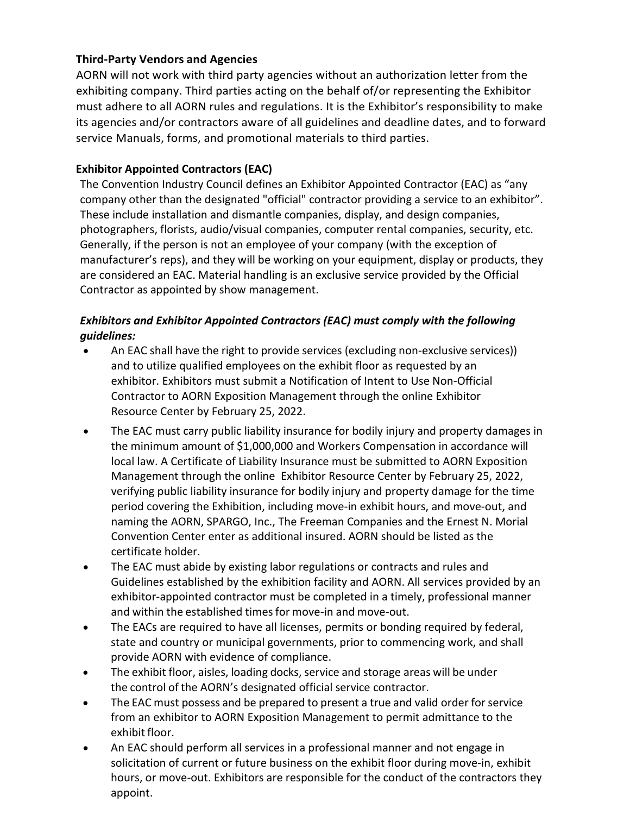## <span id="page-16-0"></span>**Third-Party Vendors and Agencies**

AORN will not work with third party agencies without an authorization letter from the exhibiting company. Third parties acting on the behalf of/or representing the Exhibitor must adhere to all AORN rules and regulations. It is the Exhibitor's responsibility to make its agencies and/or contractors aware of all guidelines and deadline dates, and to forward service Manuals, forms, and promotional materials to third parties.

## **Exhibitor Appointed Contractors (EAC)**

The Convention Industry Council defines an Exhibitor Appointed Contractor (EAC) as "any company other than the designated "official" contractor providing a service to an exhibitor". These include installation and dismantle companies, display, and design companies, photographers, florists, audio/visual companies, computer rental companies, security, etc. Generally, if the person is not an employee of your company (with the exception of manufacturer's reps), and they will be working on your equipment, display or products, they are considered an EAC. Material handling is an exclusive service provided by the Official Contractor as appointed by show management.

# *Exhibitors and Exhibitor Appointed Contractors (EAC) must comply with the following guidelines:*

- An EAC shall have the right to provide services (excluding non-exclusive services)) and to utilize qualified employees on the exhibit floor as requested by an exhibitor. Exhibitors must submit a Notification of Intent to Use Non-Official Contractor to AORN Exposition Management through the online Exhibitor Resource Center by February 25, 2022.
- The EAC must carry public liability insurance for bodily injury and property damages in the minimum amount of \$1,000,000 and Workers Compensation in accordance will local law. A Certificate of Liability Insurance must be submitted to AORN Exposition Management through the online Exhibitor Resource Center by February 25, 2022, verifying public liability insurance for bodily injury and property damage for the time period covering the Exhibition, including move-in exhibit hours, and move-out, and naming the AORN, SPARGO, Inc., The Freeman Companies and the Ernest N. Morial Convention Center enter as additional insured. AORN should be listed as the certificate holder.
- The EAC must abide by existing labor regulations or contracts and rules and Guidelines established by the exhibition facility and AORN. All services provided by an exhibitor-appointed contractor must be completed in a timely, professional manner and within the established times for move-in and move-out.
- The EACs are required to have all licenses, permits or bonding required by federal, state and country or municipal governments, prior to commencing work, and shall provide AORN with evidence of compliance.
- The exhibit floor, aisles, loading docks, service and storage areas will be under the control of the AORN's designated official service contractor.
- The EAC must possess and be prepared to present a true and valid order for service from an exhibitor to AORN Exposition Management to permit admittance to the exhibit floor.
- An EAC should perform all services in a professional manner and not engage in solicitation of current or future business on the exhibit floor during move-in, exhibit hours, or move-out. Exhibitors are responsible for the conduct of the contractors they appoint.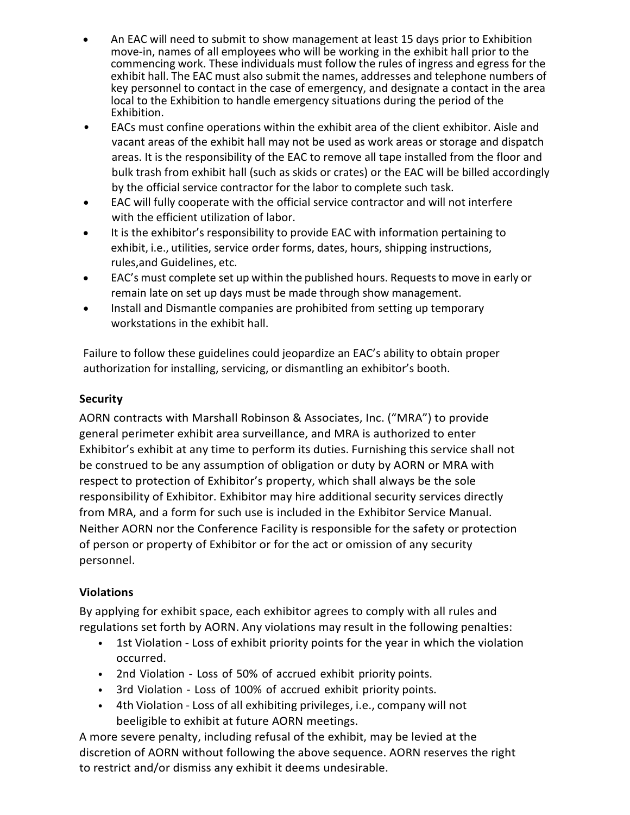- An EAC will need to submit to show management at least 15 days prior to Exhibition move-in, names of all employees who will be working in the exhibit hall prior to the commencing work. These individuals must follow the rules of ingress and egress for the exhibit hall. The EAC must also submit the names, addresses and telephone numbers of key personnel to contact in the case of emergency, and designate a contact in the area local to the Exhibition to handle emergency situations during the period of the Exhibition.
- EACs must confine operations within the exhibit area of the client exhibitor. Aisle and vacant areas of the exhibit hall may not be used as work areas or storage and dispatch areas. It is the responsibility of the EAC to remove all tape installed from the floor and bulk trash from exhibit hall (such as skids or crates) or the EAC will be billed accordingly by the official service contractor for the labor to complete such task.
- EAC will fully cooperate with the official service contractor and will not interfere with the efficient utilization of labor.
- It is the exhibitor's responsibility to provide EAC with information pertaining to exhibit, i.e., utilities, service order forms, dates, hours, shipping instructions, rules,and Guidelines, etc.
- EAC's must complete set up within the published hours. Requeststo move in early or remain late on set up days must be made through show management.
- Install and Dismantle companies are prohibited from setting up temporary workstations in the exhibit hall.

Failure to follow these guidelines could jeopardize an EAC's ability to obtain proper authorization for installing, servicing, or dismantling an exhibitor's booth.

# <span id="page-17-0"></span>**Security**

AORN contracts with Marshall Robinson & Associates, Inc. ("MRA") to provide general perimeter exhibit area surveillance, and MRA is authorized to enter Exhibitor's exhibit at any time to perform its duties. Furnishing this service shall not be construed to be any assumption of obligation or duty by AORN or MRA with respect to protection of Exhibitor's property, which shall always be the sole responsibility of Exhibitor. Exhibitor may hire additional security services directly from MRA, and a form for such use is included in the Exhibitor Service Manual. Neither AORN nor the Conference Facility is responsible for the safety or protection of person or property of Exhibitor or for the act or omission of any security personnel.

## <span id="page-17-1"></span>**Violations**

By applying for exhibit space, each exhibitor agrees to comply with all rules and regulations set forth by AORN. Any violations may result in the following penalties:

- 1st Violation Loss of exhibit priority points for the year in which the violation occurred.
- 2nd Violation Loss of 50% of accrued exhibit priority points.
- 3rd Violation Loss of 100% of accrued exhibit priority points.
- 4th Violation Loss of all exhibiting privileges, i.e., company will not beeligible to exhibit at future AORN meetings.

A more severe penalty, including refusal of the exhibit, may be levied at the discretion of AORN without following the above sequence. AORN reserves the right to restrict and/or dismiss any exhibit it deems undesirable.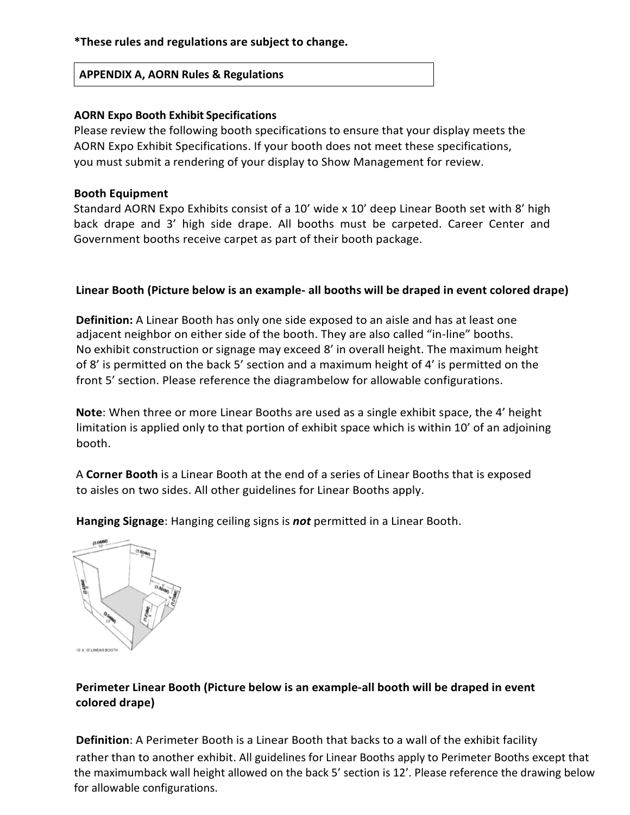## **\*These rules and regulations are subject to change.**

### **APPENDIX A, AORN Rules & Regulations**

### **AORN Expo Booth Exhibit Specifications**

Please review the following booth specifications to ensure that your display meets the AORN Expo Exhibit Specifications. If your booth does not meet these specifications, you must submit a rendering of your display to Show Management for review.

#### **Booth Equipment**

Standard AORN Expo Exhibits consist of a 10' wide x 10' deep Linear Booth set with 8' high back drape and 3' high side drape. All booths must be carpeted. Career Center and Government booths receive carpet as part of their booth package.

### **Linear Booth (Picture below is an example- all booths will be draped in event colored drape)**

**Definition:** A Linear Booth has only one side exposed to an aisle and has at least one adjacent neighbor on either side of the booth. They are also called "in-line" booths. No exhibit construction or signage may exceed 8' in overall height. The maximum height of 8' is permitted on the back 5' section and a maximum height of 4' is permitted on the front 5' section. Please reference the diagrambelow for allowable configurations.

**Note**: When three or more Linear Booths are used as a single exhibit space, the 4' height limitation is applied only to that portion of exhibit space which is within 10' of an adjoining booth.

A **Corner Booth** is a Linear Booth at the end of a series of Linear Booths that is exposed to aisles on two sides. All other guidelines for Linear Booths apply.

**Hanging Signage**: Hanging ceiling signs is *not* permitted in a Linear Booth.



**Perimeter Linear Booth (Picture below is an example-all booth will be draped in event colored drape)**

**Definition**: A Perimeter Booth is a Linear Booth that backs to a wall of the exhibit facility rather than to another exhibit. All guidelines for Linear Booths apply to Perimeter Booths except that the maximumback wall height allowed on the back 5' section is 12'. Please reference the drawing below for allowable configurations.